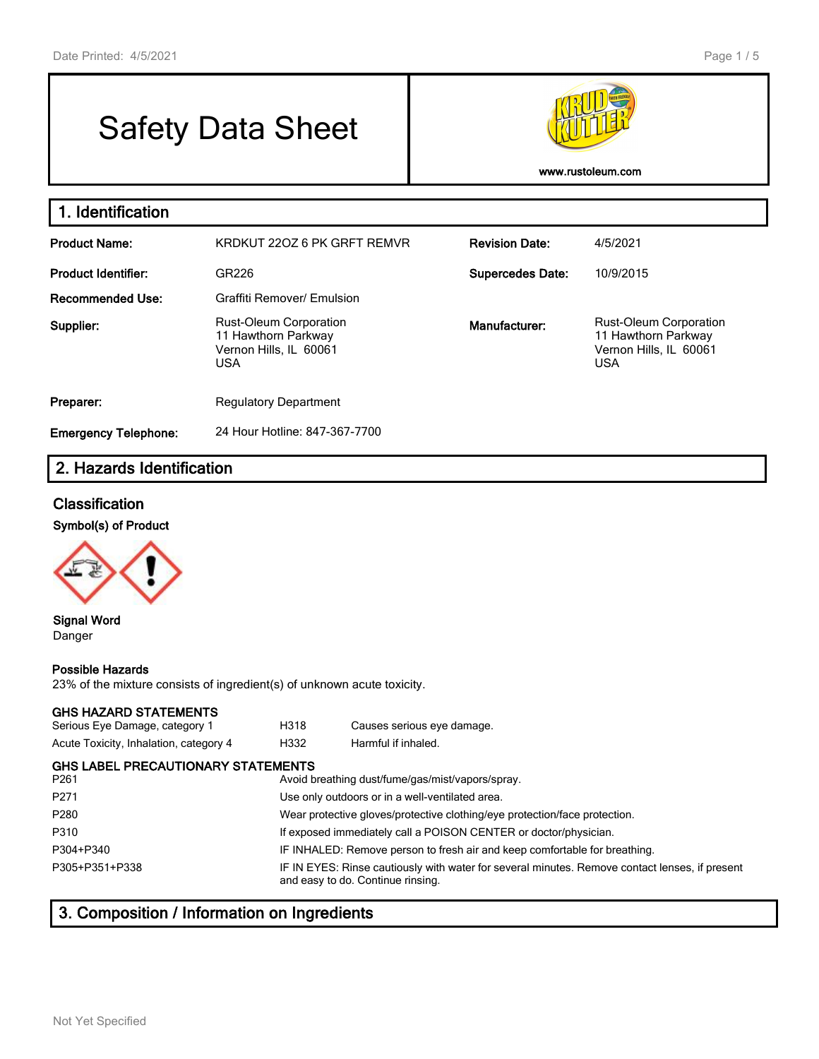# Safety Data Sheet



**www.rustoleum.com**

| 1. Identification           |                                                                                              |                         |                                                                                              |
|-----------------------------|----------------------------------------------------------------------------------------------|-------------------------|----------------------------------------------------------------------------------------------|
| <b>Product Name:</b>        | KRDKUT 220Z 6 PK GRFT REMVR                                                                  | <b>Revision Date:</b>   | 4/5/2021                                                                                     |
| Product Identifier:         | GR226                                                                                        | <b>Supercedes Date:</b> | 10/9/2015                                                                                    |
| <b>Recommended Use:</b>     | Graffiti Remover/ Emulsion                                                                   |                         |                                                                                              |
| Supplier:                   | <b>Rust-Oleum Corporation</b><br>11 Hawthorn Parkway<br>Vernon Hills, IL 60061<br><b>USA</b> | Manufacturer:           | <b>Rust-Oleum Corporation</b><br>11 Hawthorn Parkway<br>Vernon Hills, IL 60061<br><b>USA</b> |
| Preparer:                   | <b>Regulatory Department</b>                                                                 |                         |                                                                                              |
| <b>Emergency Telephone:</b> | 24 Hour Hotline: 847-367-7700                                                                |                         |                                                                                              |

# **2. Hazards Identification**

# **Classification**

**Symbol(s) of Product**



#### **Signal Word** Danger

#### **Possible Hazards**

23% of the mixture consists of ingredient(s) of unknown acute toxicity.

### **GHS HAZARD STATEMENTS**

| Serious Eye Damage, category 1                                | H318 | Causes serious eye damage.                                                                                                          |  |  |
|---------------------------------------------------------------|------|-------------------------------------------------------------------------------------------------------------------------------------|--|--|
| Acute Toxicity, Inhalation, category 4                        | H332 | Harmful if inhaled.                                                                                                                 |  |  |
| <b>GHS LABEL PRECAUTIONARY STATEMENTS</b><br>P <sub>261</sub> |      | Avoid breathing dust/fume/gas/mist/vapors/spray.                                                                                    |  |  |
| P <sub>271</sub>                                              |      | Use only outdoors or in a well-ventilated area.                                                                                     |  |  |
| P <sub>280</sub>                                              |      | Wear protective gloves/protective clothing/eye protection/face protection.                                                          |  |  |
| P310                                                          |      | If exposed immediately call a POISON CENTER or doctor/physician.                                                                    |  |  |
| P304+P340                                                     |      | IF INHALED: Remove person to fresh air and keep comfortable for breathing.                                                          |  |  |
| P305+P351+P338                                                |      | IF IN EYES: Rinse cautiously with water for several minutes. Remove contact lenses, if present<br>and easy to do. Continue rinsing. |  |  |
|                                                               |      |                                                                                                                                     |  |  |

# **3. Composition / Information on Ingredients**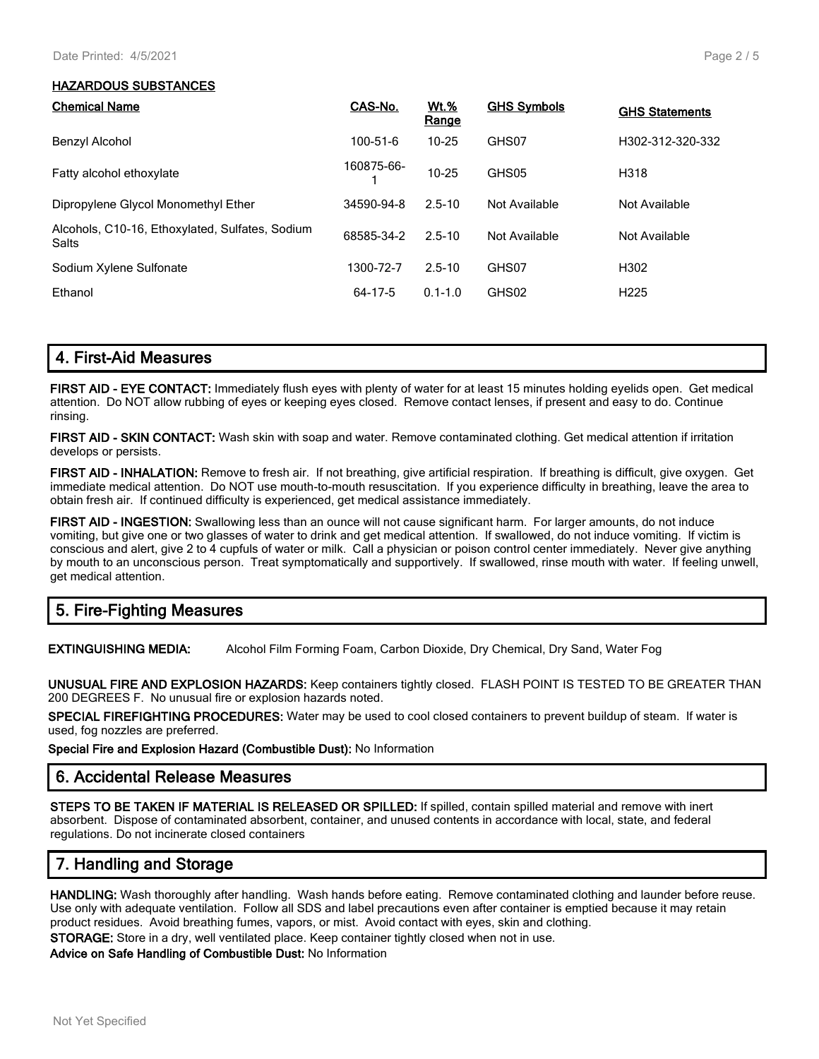#### **HAZARDOUS SUBSTANCES**

| <b>Chemical Name</b>                                            | CAS-No.    | Wt.%<br>Range | <b>GHS Symbols</b> | <b>GHS Statements</b> |
|-----------------------------------------------------------------|------------|---------------|--------------------|-----------------------|
| Benzyl Alcohol                                                  | 100-51-6   | $10 - 25$     | GHS07              | H302-312-320-332      |
| Fatty alcohol ethoxylate                                        | 160875-66- | $10 - 25$     | GHS05              | H318                  |
| Dipropylene Glycol Monomethyl Ether                             | 34590-94-8 | $2.5 - 10$    | Not Available      | Not Available         |
| Alcohols, C10-16, Ethoxylated, Sulfates, Sodium<br><b>Salts</b> | 68585-34-2 | $2.5 - 10$    | Not Available      | Not Available         |
| Sodium Xylene Sulfonate                                         | 1300-72-7  | $2.5 - 10$    | GHS07              | H302                  |
| Ethanol                                                         | 64-17-5    | $0.1 - 1.0$   | GHS02              | H <sub>225</sub>      |

**FIRST AID - EYE CONTACT:** Immediately flush eyes with plenty of water for at least 15 minutes holding eyelids open. Get medical attention. Do NOT allow rubbing of eyes or keeping eyes closed. Remove contact lenses, if present and easy to do. Continue rinsing.

**FIRST AID - SKIN CONTACT:** Wash skin with soap and water. Remove contaminated clothing. Get medical attention if irritation develops or persists.

**FIRST AID - INHALATION:** Remove to fresh air. If not breathing, give artificial respiration. If breathing is difficult, give oxygen. Get immediate medical attention. Do NOT use mouth-to-mouth resuscitation. If you experience difficulty in breathing, leave the area to obtain fresh air. If continued difficulty is experienced, get medical assistance immediately.

**FIRST AID - INGESTION:** Swallowing less than an ounce will not cause significant harm. For larger amounts, do not induce vomiting, but give one or two glasses of water to drink and get medical attention. If swallowed, do not induce vomiting. If victim is conscious and alert, give 2 to 4 cupfuls of water or milk. Call a physician or poison control center immediately. Never give anything by mouth to an unconscious person. Treat symptomatically and supportively. If swallowed, rinse mouth with water. If feeling unwell, get medical attention.

# **5. Fire-Fighting Measures**

**EXTINGUISHING MEDIA:** Alcohol Film Forming Foam, Carbon Dioxide, Dry Chemical, Dry Sand, Water Fog

**UNUSUAL FIRE AND EXPLOSION HAZARDS:** Keep containers tightly closed. FLASH POINT IS TESTED TO BE GREATER THAN 200 DEGREES F. No unusual fire or explosion hazards noted.

**SPECIAL FIREFIGHTING PROCEDURES:** Water may be used to cool closed containers to prevent buildup of steam. If water is used, fog nozzles are preferred.

**Special Fire and Explosion Hazard (Combustible Dust):** No Information

## **6. Accidental Release Measures**

**STEPS TO BE TAKEN IF MATERIAL IS RELEASED OR SPILLED:** If spilled, contain spilled material and remove with inert absorbent. Dispose of contaminated absorbent, container, and unused contents in accordance with local, state, and federal regulations. Do not incinerate closed containers

# **7. Handling and Storage**

**HANDLING:** Wash thoroughly after handling. Wash hands before eating. Remove contaminated clothing and launder before reuse. Use only with adequate ventilation. Follow all SDS and label precautions even after container is emptied because it may retain product residues. Avoid breathing fumes, vapors, or mist. Avoid contact with eyes, skin and clothing. **STORAGE:** Store in a dry, well ventilated place. Keep container tightly closed when not in use.

**Advice on Safe Handling of Combustible Dust:** No Information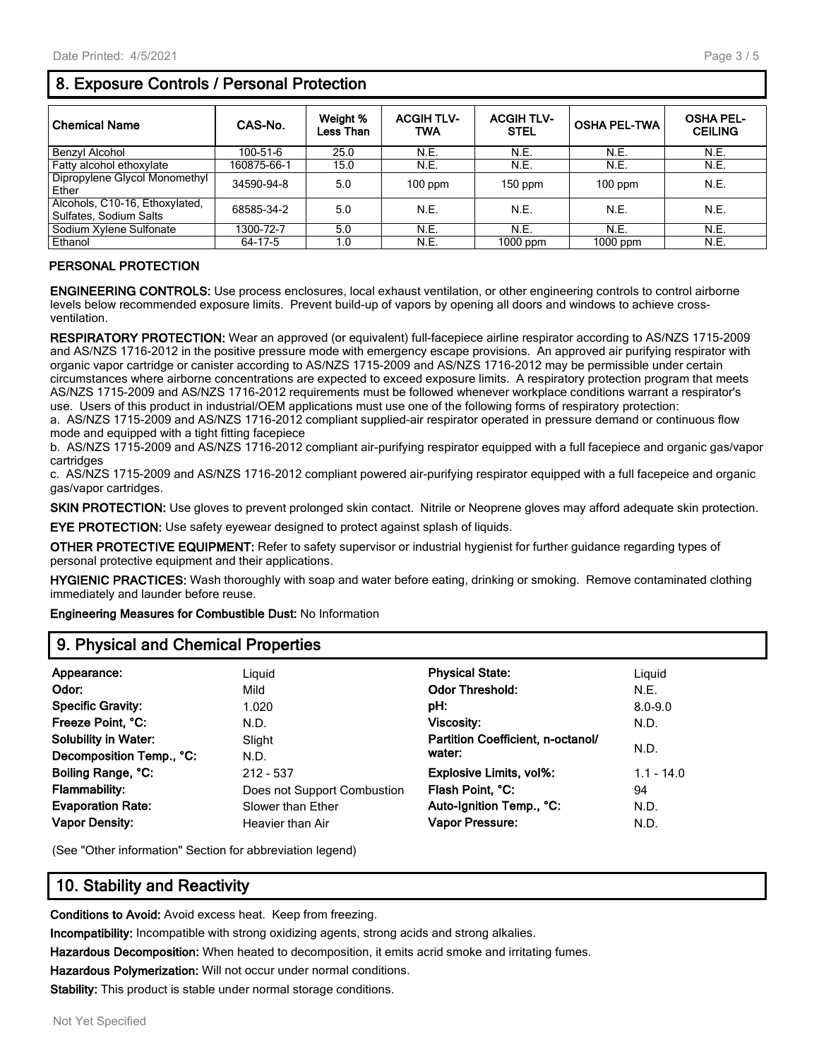# **8. Exposure Controls / Personal Protection**

| <b>Chemical Name</b>                                     | CAS-No.     | Weight %<br>Less Than | <b>ACGIH TLV-</b><br>TWA | <b>ACGIH TLV-</b><br><b>STEL</b> | <b>OSHA PEL-TWA</b> | <b>OSHA PEL-</b><br><b>CEILING</b> |
|----------------------------------------------------------|-------------|-----------------------|--------------------------|----------------------------------|---------------------|------------------------------------|
| Benzyl Alcohol                                           | 100-51-6    | 25.0                  | N.E.                     | N.E.                             | N.E.                | N.E.                               |
| Fatty alcohol ethoxylate                                 | 160875-66-1 | 15.0                  | N.E.                     | N.E.                             | N.E.                | N.E.                               |
| Dipropylene Glycol Monomethyl<br>Ether                   | 34590-94-8  | 5.0                   | $100$ ppm                | $150$ ppm                        | $100$ ppm           | N.E.                               |
| Alcohols, C10-16, Ethoxylated,<br>Sulfates, Sodium Salts | 68585-34-2  | 5.0                   | N.E.                     | N.E.                             | N.E.                | N.E.                               |
| Sodium Xylene Sulfonate                                  | 1300-72-7   | 5.0                   | N.E.                     | N.E.                             | N.E.                | N.E.                               |
| Ethanol                                                  | 64-17-5     | 1.0                   | N.E.                     | $1000$ ppm                       | $1000$ ppm          | N.E.                               |

## **PERSONAL PROTECTION**

**ENGINEERING CONTROLS:** Use process enclosures, local exhaust ventilation, or other engineering controls to control airborne levels below recommended exposure limits. Prevent build-up of vapors by opening all doors and windows to achieve crossventilation.

**RESPIRATORY PROTECTION:** Wear an approved (or equivalent) full-facepiece airline respirator according to AS/NZS 1715-2009 and AS/NZS 1716-2012 in the positive pressure mode with emergency escape provisions. An approved air purifying respirator with organic vapor cartridge or canister according to AS/NZS 1715-2009 and AS/NZS 1716-2012 may be permissible under certain circumstances where airborne concentrations are expected to exceed exposure limits. A respiratory protection program that meets AS/NZS 1715-2009 and AS/NZS 1716-2012 requirements must be followed whenever workplace conditions warrant a respirator's use. Users of this product in industrial/OEM applications must use one of the following forms of respiratory protection: a. AS/NZS 1715-2009 and AS/NZS 1716-2012 compliant supplied-air respirator operated in pressure demand or continuous flow

mode and equipped with a tight fitting facepiece b. AS/NZS 1715-2009 and AS/NZS 1716-2012 compliant air-purifying respirator equipped with a full facepiece and organic gas/vapor

cartridges

c. AS/NZS 1715-2009 and AS/NZS 1716-2012 compliant powered air-purifying respirator equipped with a full facepeice and organic gas/vapor cartridges.

**SKIN PROTECTION:** Use gloves to prevent prolonged skin contact. Nitrile or Neoprene gloves may afford adequate skin protection.

**EYE PROTECTION:** Use safety eyewear designed to protect against splash of liquids.

**OTHER PROTECTIVE EQUIPMENT:** Refer to safety supervisor or industrial hygienist for further guidance regarding types of personal protective equipment and their applications.

**HYGIENIC PRACTICES:** Wash thoroughly with soap and water before eating, drinking or smoking. Remove contaminated clothing immediately and launder before reuse.

**Engineering Measures for Combustible Dust:** No Information

## **9. Physical and Chemical Properties**

| Appearance:                 | Liquid                      | <b>Physical State:</b>            | Liguid       |  |  |  |
|-----------------------------|-----------------------------|-----------------------------------|--------------|--|--|--|
| Odor:                       | Mild                        | <b>Odor Threshold:</b>            | N.E.         |  |  |  |
| <b>Specific Gravity:</b>    | 1.020                       | pH:                               | $8.0 - 9.0$  |  |  |  |
| Freeze Point, °C:           | N.D.                        | Viscosity:                        | N.D.         |  |  |  |
| <b>Solubility in Water:</b> | Slight                      | Partition Coefficient, n-octanol/ |              |  |  |  |
| Decomposition Temp., °C:    | N.D.                        | water:                            | N.D.         |  |  |  |
| Boiling Range, °C:          | $212 - 537$                 | <b>Explosive Limits, vol%:</b>    | $1.1 - 14.0$ |  |  |  |
| Flammability:               | Does not Support Combustion | Flash Point, °C:                  | 94           |  |  |  |
| <b>Evaporation Rate:</b>    | Slower than Ether           | Auto-Ignition Temp., °C:          | N.D.         |  |  |  |
| <b>Vapor Density:</b>       | Heavier than Air            | <b>Vapor Pressure:</b>            | N.D.         |  |  |  |
|                             |                             |                                   |              |  |  |  |

(See "Other information" Section for abbreviation legend)

# **10. Stability and Reactivity**

**Conditions to Avoid:** Avoid excess heat. Keep from freezing.

**Incompatibility:** Incompatible with strong oxidizing agents, strong acids and strong alkalies.

**Hazardous Decomposition:** When heated to decomposition, it emits acrid smoke and irritating fumes.

**Hazardous Polymerization:** Will not occur under normal conditions.

**Stability:** This product is stable under normal storage conditions.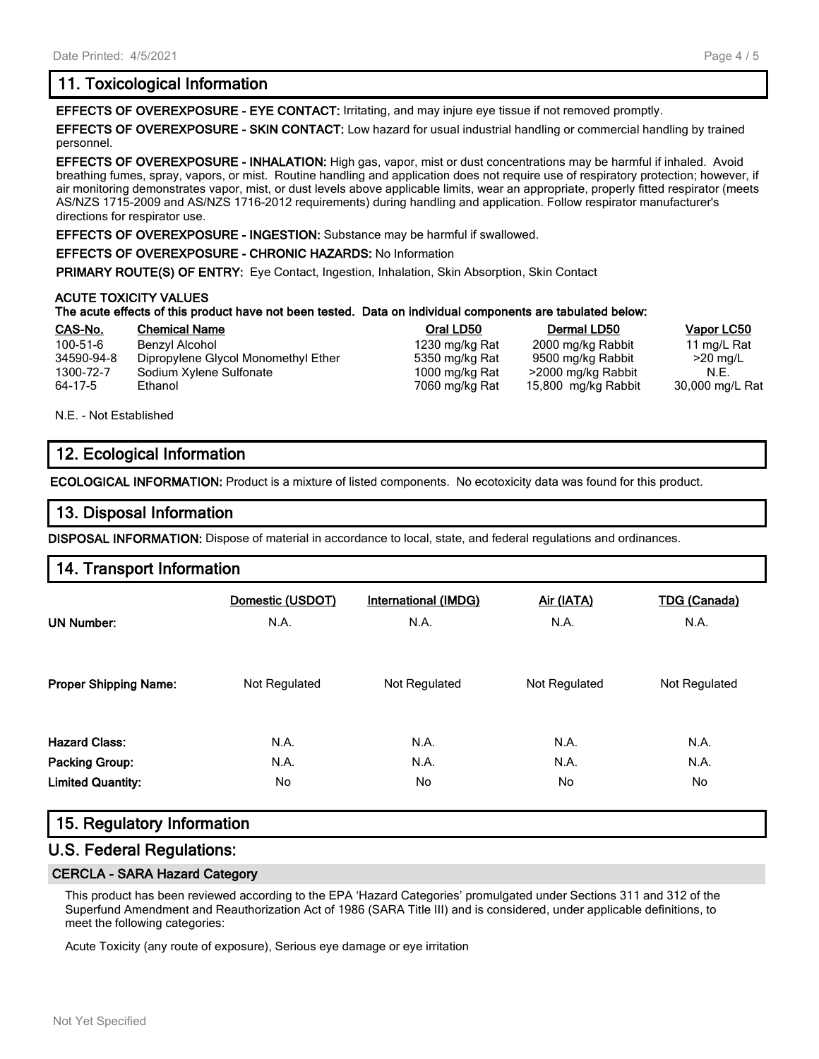# **11. Toxicological Information**

**EFFECTS OF OVEREXPOSURE - EYE CONTACT:** Irritating, and may injure eye tissue if not removed promptly.

**EFFECTS OF OVEREXPOSURE - SKIN CONTACT:** Low hazard for usual industrial handling or commercial handling by trained personnel.

**EFFECTS OF OVEREXPOSURE - INHALATION:** High gas, vapor, mist or dust concentrations may be harmful if inhaled. Avoid breathing fumes, spray, vapors, or mist. Routine handling and application does not require use of respiratory protection; however, if air monitoring demonstrates vapor, mist, or dust levels above applicable limits, wear an appropriate, properly fitted respirator (meets AS/NZS 1715-2009 and AS/NZS 1716-2012 requirements) during handling and application. Follow respirator manufacturer's directions for respirator use.

**EFFECTS OF OVEREXPOSURE - INGESTION:** Substance may be harmful if swallowed.

**EFFECTS OF OVEREXPOSURE - CHRONIC HAZARDS:** No Information

**PRIMARY ROUTE(S) OF ENTRY:** Eye Contact, Ingestion, Inhalation, Skin Absorption, Skin Contact

#### **ACUTE TOXICITY VALUES**

#### **The acute effects of this product have not been tested. Data on individual components are tabulated below:**

| CAS-No.    | <b>Chemical Name</b>                | Oral LD50      | Dermal LD50         | Vapor LC50      |
|------------|-------------------------------------|----------------|---------------------|-----------------|
| 100-51-6   | Benzvl Alcohol                      | 1230 mg/kg Rat | 2000 mg/kg Rabbit   | 11 mg/L Rat     |
| 34590-94-8 | Dipropylene Glycol Monomethyl Ether | 5350 mg/kg Rat | 9500 mg/kg Rabbit   | $>20$ mg/L      |
| 1300-72-7  | Sodium Xylene Sulfonate             | 1000 mg/kg Rat | >2000 mg/kg Rabbit  | N.E.            |
| 64-17-5    | Ethanol                             | 7060 mg/kg Rat | 15,800 mg/kg Rabbit | 30,000 mg/L Rat |

N.E. - Not Established

# **12. Ecological Information**

**ECOLOGICAL INFORMATION:** Product is a mixture of listed components. No ecotoxicity data was found for this product.

## **13. Disposal Information**

**DISPOSAL INFORMATION:** Dispose of material in accordance to local, state, and federal regulations and ordinances.

## **14. Transport Information**

| <b>UN Number:</b>            | Domestic (USDOT)<br>N.A. | International (IMDG)<br>N.A. | Air (IATA)<br>N.A. | <b>TDG</b> (Canada)<br>N.A. |
|------------------------------|--------------------------|------------------------------|--------------------|-----------------------------|
| <b>Proper Shipping Name:</b> | Not Regulated            | Not Regulated                | Not Regulated      | Not Regulated               |
| <b>Hazard Class:</b>         | N.A.                     | N.A.                         | N.A.               | N.A.                        |
| <b>Packing Group:</b>        | N.A.                     | N.A.                         | N.A.               | N.A.                        |
| <b>Limited Quantity:</b>     | No.                      | No.                          | No.                | No.                         |

## **15. Regulatory Information**

## **U.S. Federal Regulations:**

#### **CERCLA - SARA Hazard Category**

This product has been reviewed according to the EPA 'Hazard Categories' promulgated under Sections 311 and 312 of the Superfund Amendment and Reauthorization Act of 1986 (SARA Title III) and is considered, under applicable definitions, to meet the following categories:

Acute Toxicity (any route of exposure), Serious eye damage or eye irritation